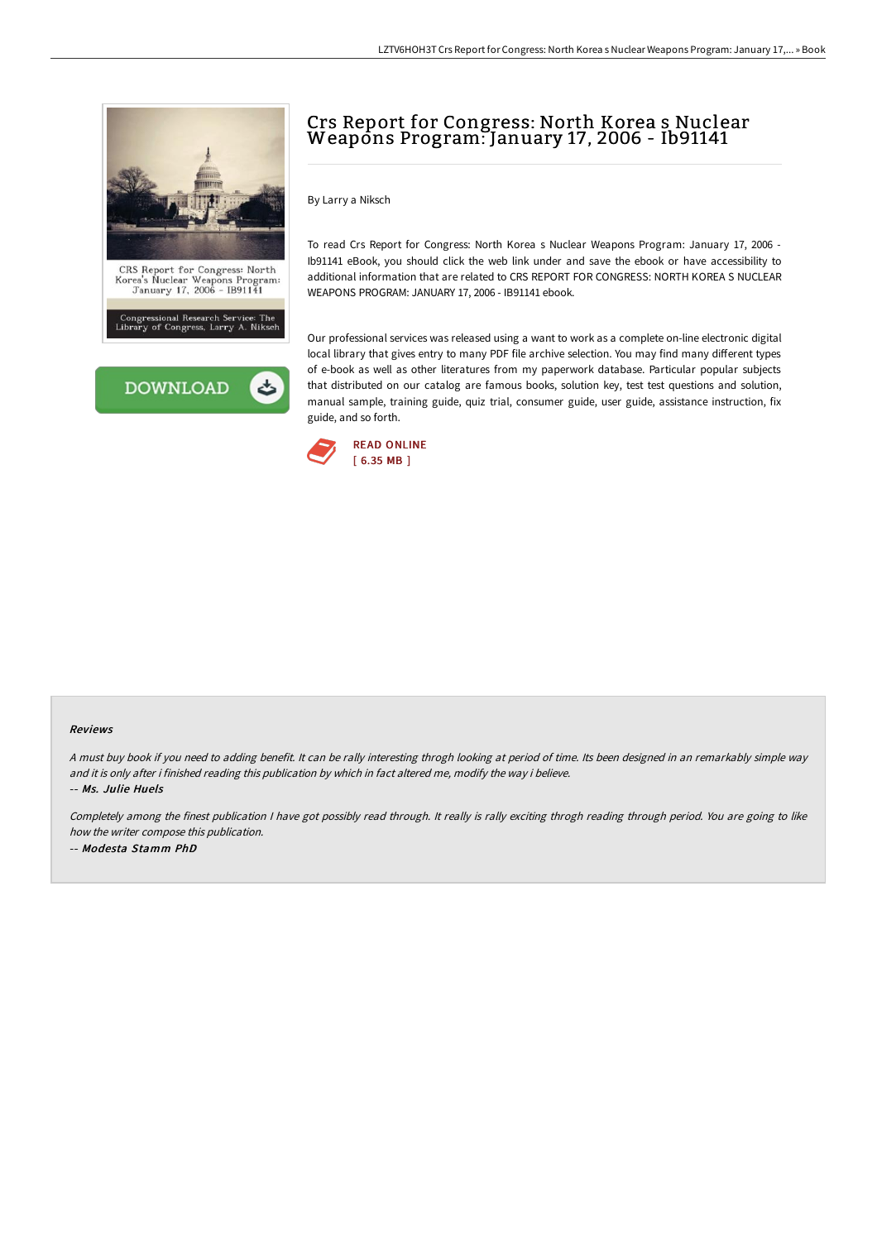



# Crs Report for Congress: North Korea s Nuclear Weapons Program: January 17, 2006 - Ib91141

By Larry a Niksch

To read Crs Report for Congress: North Korea s Nuclear Weapons Program: January 17, 2006 - Ib91141 eBook, you should click the web link under and save the ebook or have accessibility to additional information that are related to CRS REPORT FOR CONGRESS: NORTH KOREA S NUCLEAR WEAPONS PROGRAM: JANUARY 17, 2006 - IB91141 ebook.

Our professional services was released using a want to work as a complete on-line electronic digital local library that gives entry to many PDF file archive selection. You may find many different types of e-book as well as other literatures from my paperwork database. Particular popular subjects that distributed on our catalog are famous books, solution key, test test questions and solution, manual sample, training guide, quiz trial, consumer guide, user guide, assistance instruction, fix guide, and so forth.



#### Reviews

<sup>A</sup> must buy book if you need to adding benefit. It can be rally interesting throgh looking at period of time. Its been designed in an remarkably simple way and it is only after i finished reading this publication by which in fact altered me, modify the way i believe. -- Ms. Julie Huels

Completely among the finest publication I have got possibly read through. It really is rally exciting throgh reading through period. You are going to like how the writer compose this publication. -- Modesta Stamm PhD